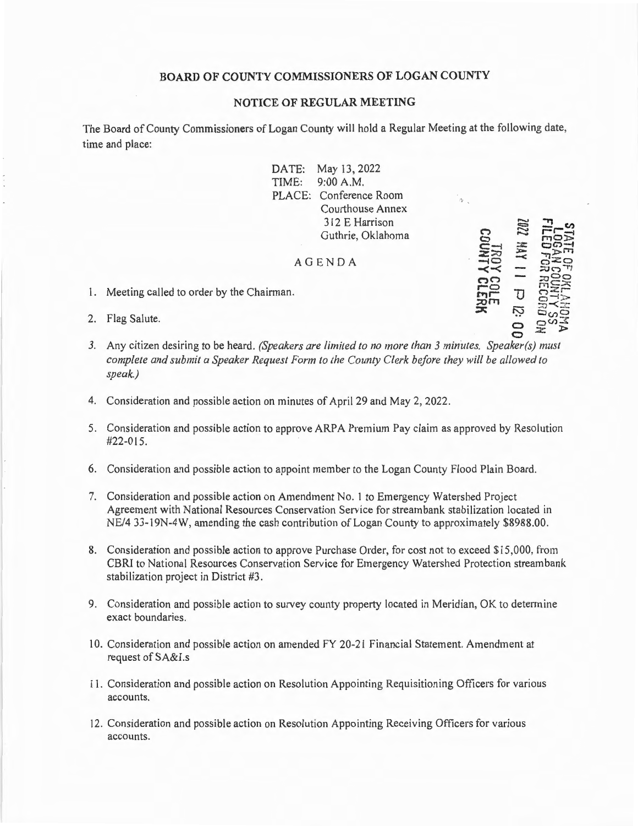## **BOARD OF COUNTY COMMISSIONERS OF LOGAN COUNTY**

## **NOTICE OF REGULAR MEETING**

The Board of County Commissioners of Logan County will hold a Regular Meeting at the following date, time and place:

> DATE: May 13, 2022 TIME: 9:00 A.M. PLACE: Conference Room Courthouse Annex 3 12 E Harrison Guthrie, Oklahoma

 $\mathcal \Box$ **0 C-l z:;.ry -40**   $\prec$  $\mathcal{C}$ **r-o l'1"1r ::uni**   $\,$ **,**  $\,$ **,**  $\,$ **,**  $\,$ **,**  $\,$ **,**  $\,$ **,**  $\,$ **,**  $\,$ **,**  $\,$ **,**  $\,$ **,**  $\,$ **,**  $\,$ **,**  $\,$ **,**  $\,$ **,**  $\,$ **,**  $\,$ **,**  $\,$ **,**  $\,$ **,**  $\,$ **,**  $\,$ **,**  $\,$ **,**  $\,$ **,**  $\,$ **,**  $\,$ **,**  $\,$ **,**  $\,$ **,**  $\,$ **,**  $\,$ **,**  $\,$ **,**  $\,$ **,**  $\,$ **,**  $\,$ **,**  $\,$ **,**  $\,$ **,**  $\,$ **,**  $\,$ **,**  $\,$ **,** 

........ **c;::,**   $\Xi$  $\ddot{\phantom{1}}$ **:s:: ::c-**  $\approx$ 

**u**  iy **0** 

## AGENDA

- 1. Meeting called to order by the Chairman.
- 2. Flag Salute.
- **0**  *3.* Any citizen desiring to be heard. *(Speakers are limited to no more than 3 minutes. Speaker(s) must complete and submit a Speaker Request Form to the County Clerk before they will be allowed to speak.)*
- 4. Consideration and possible action on minutes of April 29 and May 2, 2022.
- 5. Consideration and possible action to approve ARPA Premium Pay claim as approved by Resolution  $#22-015.$
- 6. Consideration and possible action to appoint member to the Logan County Flood Plain Board.
- 7. Consideration and possible action on Amendment No. 1 to Emergency Watershed Project Agreement with National Resources Conservation Service for streambank stabilization located in NE/4 33-19N-4W, amending the cash contribution of Logan County to approximately \$8988.00.
- 8. Consideration and possible action to approve Purchase Order, for cost not to exceed \$15 ,000, from CBRI to National Resources Conservation Service for Emergency Watershed Protection streambank stabilization project in District #3.
- 9. Consideration and possible action to survey county property located in Meridian, OK to detennine exact boundaries.
- l 0. Consideration and possible action on amended FY 20-21 Financial Statement. Amendment at request of SA&I.s
- 11. Consideration and possible action on Resolution Appointing Requisitioning Officers for various accounts.
- 12. Consideration and possible action on Resolution Appointing Receiving Officers for various accounts.